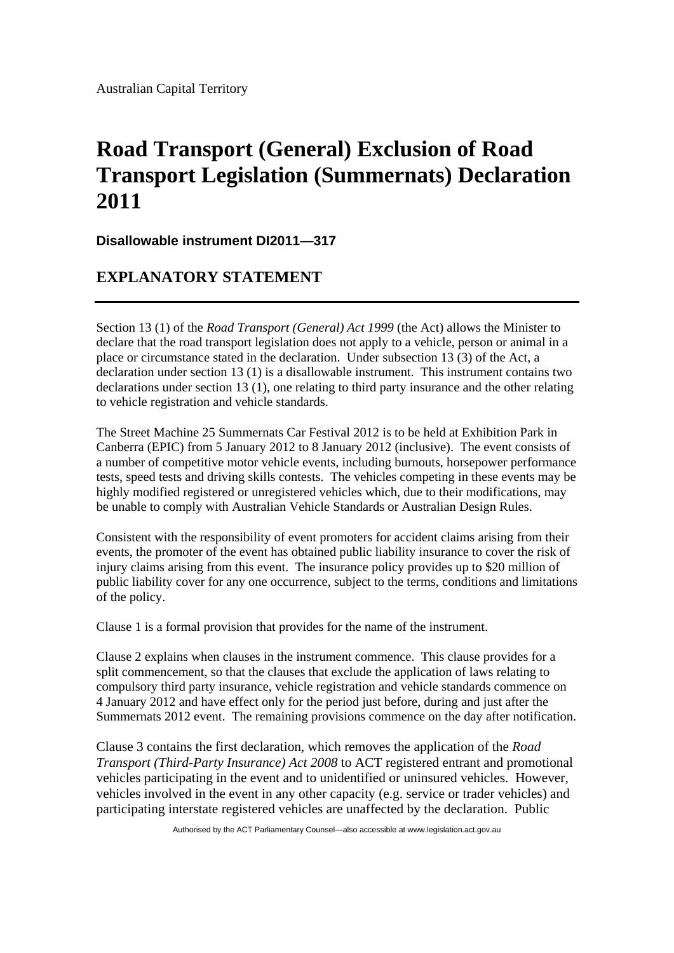Australian Capital Territory

## **Road Transport (General) Exclusion of Road Transport Legislation (Summernats) Declaration 2011**

**Disallowable instrument DI2011—317**

## **EXPLANATORY STATEMENT**

Section 13 (1) of the *Road Transport (General) Act 1999* (the Act) allows the Minister to declare that the road transport legislation does not apply to a vehicle, person or animal in a place or circumstance stated in the declaration. Under subsection 13 (3) of the Act, a declaration under section 13 (1) is a disallowable instrument. This instrument contains two declarations under section 13 (1), one relating to third party insurance and the other relating to vehicle registration and vehicle standards.

The Street Machine 25 Summernats Car Festival 2012 is to be held at Exhibition Park in Canberra (EPIC) from 5 January 2012 to 8 January 2012 (inclusive). The event consists of a number of competitive motor vehicle events, including burnouts, horsepower performance tests, speed tests and driving skills contests. The vehicles competing in these events may be highly modified registered or unregistered vehicles which, due to their modifications, may be unable to comply with Australian Vehicle Standards or Australian Design Rules.

Consistent with the responsibility of event promoters for accident claims arising from their events, the promoter of the event has obtained public liability insurance to cover the risk of injury claims arising from this event. The insurance policy provides up to \$20 million of public liability cover for any one occurrence, subject to the terms, conditions and limitations of the policy.

Clause 1 is a formal provision that provides for the name of the instrument.

Clause 2 explains when clauses in the instrument commence. This clause provides for a split commencement, so that the clauses that exclude the application of laws relating to compulsory third party insurance, vehicle registration and vehicle standards commence on 4 January 2012 and have effect only for the period just before, during and just after the Summernats 2012 event. The remaining provisions commence on the day after notification.

Clause 3 contains the first declaration, which removes the application of the *Road Transport (Third-Party Insurance) Act 2008* to ACT registered entrant and promotional vehicles participating in the event and to unidentified or uninsured vehicles. However, vehicles involved in the event in any other capacity (e.g. service or trader vehicles) and participating interstate registered vehicles are unaffected by the declaration. Public

Authorised by the ACT Parliamentary Counsel—also accessible at www.legislation.act.gov.au